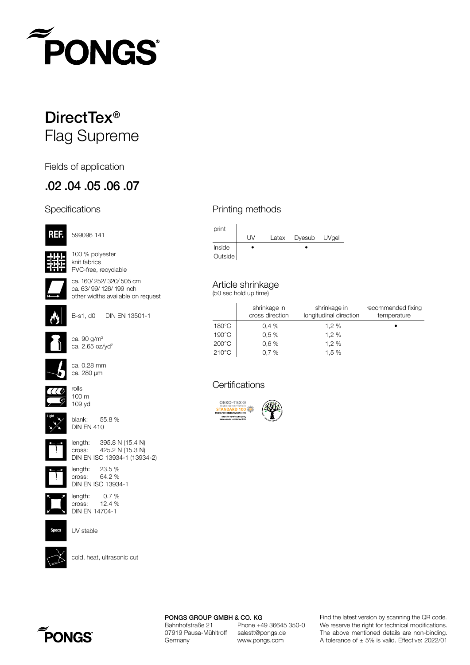

# DirectTex<sup>®</sup> Flag Supreme

Fields of application

### .02 .04 .05 .06 .07

#### **Specifications**



599096 141

100 % polyester knit fabrics PVC-free, recyclable



ca. 160/ 252/ 320/ 505 cm ca. 63/ 99/ 126/ 199 inch other widths available on request



B-s1, d0 DIN EN 13501-1



ca. 90 g/m2 ca.  $2.65$  oz/yd<sup>2</sup>



ca. 0.28 mm ca. 280 µm



**Light**

blank: 55.8 % DIN EN 410



length: 395.8 N (15.4 N) cross: 425.2 N (15.3 N) DIN EN ISO 13934-1 (13934-2)



length: 23.5 % cross: 64.2 % DIN EN ISO 13934-1



length: 0.7 % cross: 12.4 % DIN EN 14704-1



UV stable



cold, heat, ultrasonic cut

#### Printing methods



Article shrinkage

(50 sec hold up time)

|                 | shrinkage in<br>cross direction | shrinkage in<br>longitudinal direction | recommended fixing<br>temperature |
|-----------------|---------------------------------|----------------------------------------|-----------------------------------|
| $180^{\circ}$ C | 0.4%                            | 1,2%                                   |                                   |
| $190^{\circ}$ C | 0.5%                            | 1.2%                                   |                                   |
| $200^{\circ}$ C | 0.6%                            | 1,2%                                   |                                   |
| $210^{\circ}$ C | 0.7%                            | 1.5%                                   |                                   |

#### **Certifications**



PONGS GROUP GMBH & CO. KG Bahnhofstraße 21 Phone +49 36645 350-0<br>07919 Pausa-Mühltroff salestt@pongs.de 07919 Pausa-Mühltroff Germany www.pongs.com

We reserve the right for technical modifications. The above mentioned details are non-binding. A tolerance of  $\pm$  5% is valid. Effective: 2022/01 Find the latest version by scanning the QR code.